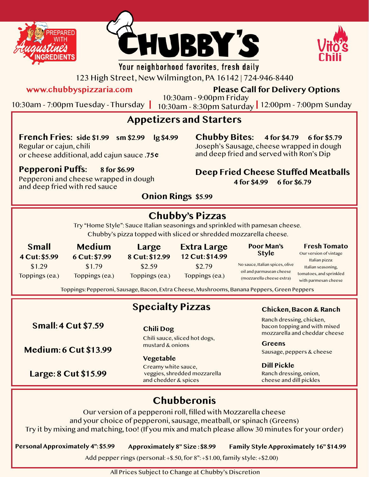





# Your neighborhood favorites, fresh daily

123 High Street, New Wilmington, PA 16142 | 724-946-8440

**www.chubbyspizzaria.com Please Call for Delivery Options**

10:30am - 7:00pm Tuesday - Thursday 10:30am - 8:30pm Saturday 12:00pm - 7:00pm Sunday 10:30am - 9:00pm Friday

## **Appetizers and Starters**

**French Fries: side \$1.99 sm \$2.99 lg \$4.99** Regular or cajun, chili

**Chubby Bites: 4 for \$4.79 6 for \$5.79**

Joseph's Sausage, cheese wrapped in dough and deep fried and served with Ron's Dip

#### **Pepperoni Puffs: 8 for \$6.99**

Pepperoni and cheese wrapped in dough and deep fried with red sauce

or cheese additional, add cajun sauce **.75 ¢**

**Deep Fried Cheese Stuffed Meatballs**

**4 for \$4.99 6 for \$6.79**

### **Onion Rings \$5.99**

# **Chubby's Pizzas**

Try "Home Style": Sauce Italian seasonings and sprinkled with pamesan cheese. Chubby's pizza topped with sliced or shredded mozzarella cheese.

| Small<br>4 Cut: \$5.99   | <b>Medium</b><br>6 Cut: \$7.99 | Large<br>8 Cut: \$12.99  | <b>Extra Large</b><br>12 Cut: \$14.99 | Poor Man's<br><b>Style</b>                                                               | <b>Fresh Tomato</b><br>Our version of vintage<br>Italian pizza:       |
|--------------------------|--------------------------------|--------------------------|---------------------------------------|------------------------------------------------------------------------------------------|-----------------------------------------------------------------------|
| \$1.29<br>Toppings (ea.) | \$1.79<br>Toppings (ea.)       | \$2.59<br>Toppings (ea.) | \$2.79<br>Toppings (ea.)              | No sauce, Italian spices, olive<br>oil and parmasean cheese<br>(mozzarella cheese extra) | Italian seasoning,<br>tomatoes, and sprinkled<br>with parmesan cheese |

Toppings: Pepperoni, Sausage, Bacon, Extra Cheese, Mushrooms, Banana Peppers, Green Peppers

|                              | <b>Specialty Pizzas</b>                                                     | Chicken, Bacon & Ranch                                                                                                           |  |  |  |  |
|------------------------------|-----------------------------------------------------------------------------|----------------------------------------------------------------------------------------------------------------------------------|--|--|--|--|
| <b>Small: 4 Cut \$7.59</b>   | <b>Chili Dog</b>                                                            | Ranch dressing, chicken,<br>bacon topping and with mixed<br>mozzarella and cheddar cheese<br>Greens<br>Sausage, peppers & cheese |  |  |  |  |
| <b>Medium: 6 Cut \$13.99</b> | Chili sauce, sliced hot dogs,<br>mustard & onions<br>Vegetable              |                                                                                                                                  |  |  |  |  |
| Large: 8 Cut \$15.99         | Creamy white sauce,<br>veggies, shredded mozzarella<br>and chedder & spices | <b>Dill Pickle</b><br>Ranch dressing, onion,<br>cheese and dill pickles                                                          |  |  |  |  |
| <b>Chubberonis</b>           |                                                                             |                                                                                                                                  |  |  |  |  |

#### Our version of a pepperoni roll, filled with Mozzarella cheese and your choice of pepperoni, sausage, meatball, or spinach (Greens) Try it by mixing and matching, too! (If you mix and match please allow 30 minutes for your order)

**Personal Approximately 4": \$5.99 Approximately 8" Size : \$8.99 Family Style Approximately 16" \$14.99**

Add pepper rings (personal:  $+$ \$.50, for  $8$ ":  $+$ \$1.00, family style:  $+$ \$2.00)

All Prices Subject to Change at Chubby's Discretion